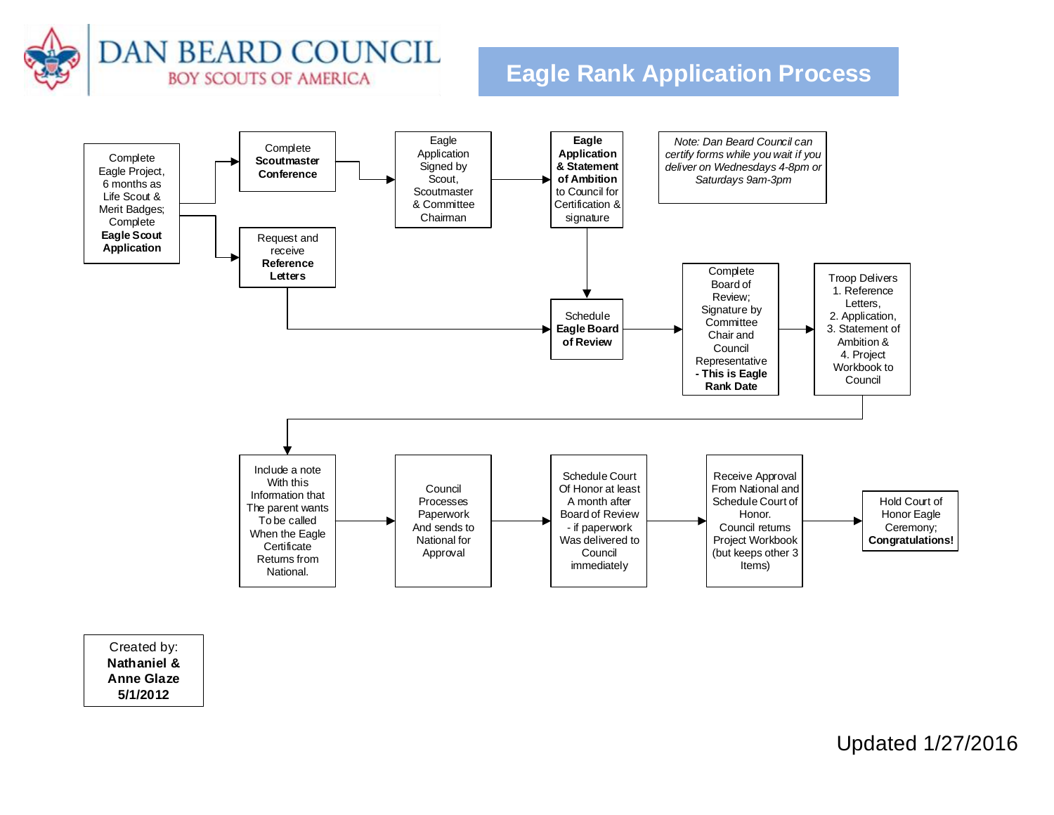

## **Eagle Rank Application Process**



Created by: **Nathaniel & Anne Glaze 5/1/2012**

Updated 1/27/2016